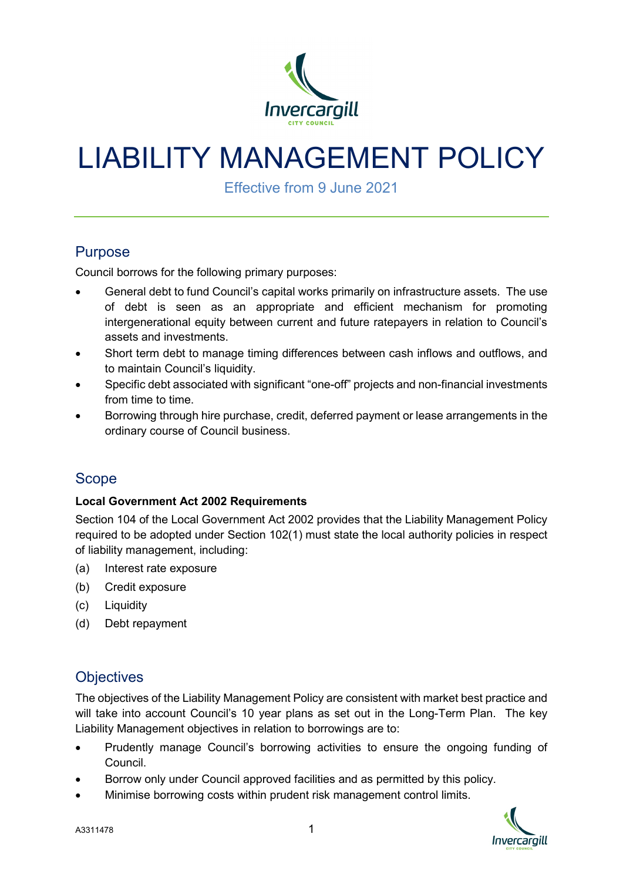

# LIABILITY MANAGEMENT POLICY

Effective from 9 June 2021

# **Purpose**

Council borrows for the following primary purposes:

- General debt to fund Council's capital works primarily on infrastructure assets. The use of debt is seen as an appropriate and efficient mechanism for promoting intergenerational equity between current and future ratepayers in relation to Council's assets and investments.
- Short term debt to manage timing differences between cash inflows and outflows, and to maintain Council's liquidity.
- Specific debt associated with significant "one-off" projects and non-financial investments from time to time.
- Borrowing through hire purchase, credit, deferred payment or lease arrangements in the ordinary course of Council business.

# Scope

#### **Local Government Act 2002 Requirements**

Section 104 of the Local Government Act 2002 provides that the Liability Management Policy required to be adopted under Section 102(1) must state the local authority policies in respect of liability management, including:

- (a) Interest rate exposure
- (b) Credit exposure
- (c) Liquidity
- (d) Debt repayment

# **Objectives**

The objectives of the Liability Management Policy are consistent with market best practice and will take into account Council's 10 year plans as set out in the Long-Term Plan. The key Liability Management objectives in relation to borrowings are to:

- Prudently manage Council's borrowing activities to ensure the ongoing funding of Council.
- Borrow only under Council approved facilities and as permitted by this policy.
- Minimise borrowing costs within prudent risk management control limits.

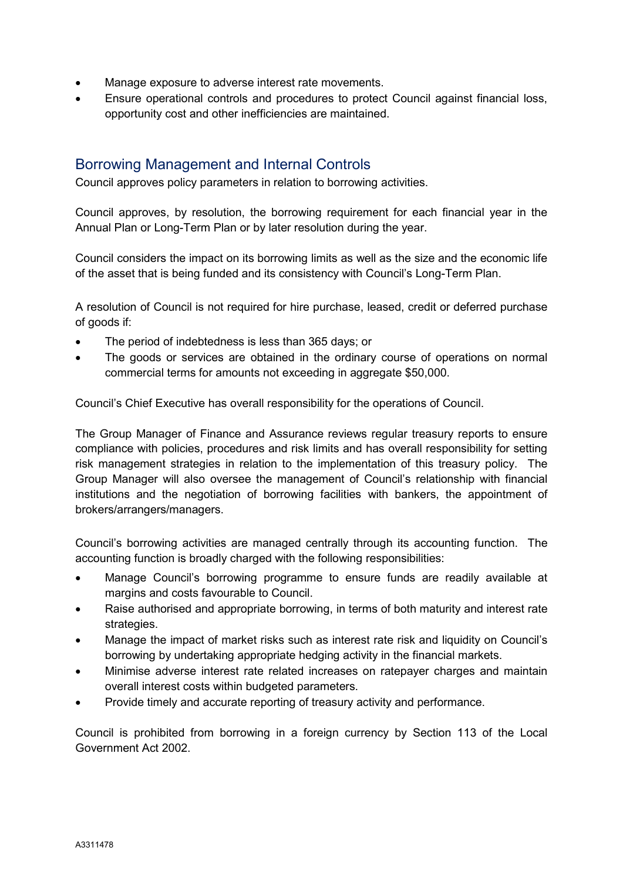- Manage exposure to adverse interest rate movements.
- Ensure operational controls and procedures to protect Council against financial loss, opportunity cost and other inefficiencies are maintained.

## Borrowing Management and Internal Controls

Council approves policy parameters in relation to borrowing activities.

Council approves, by resolution, the borrowing requirement for each financial year in the Annual Plan or Long-Term Plan or by later resolution during the year.

Council considers the impact on its borrowing limits as well as the size and the economic life of the asset that is being funded and its consistency with Council's Long-Term Plan.

A resolution of Council is not required for hire purchase, leased, credit or deferred purchase of goods if:

- The period of indebtedness is less than 365 days; or
- The goods or services are obtained in the ordinary course of operations on normal commercial terms for amounts not exceeding in aggregate \$50,000.

Council's Chief Executive has overall responsibility for the operations of Council.

The Group Manager of Finance and Assurance reviews regular treasury reports to ensure compliance with policies, procedures and risk limits and has overall responsibility for setting risk management strategies in relation to the implementation of this treasury policy. The Group Manager will also oversee the management of Council's relationship with financial institutions and the negotiation of borrowing facilities with bankers, the appointment of brokers/arrangers/managers.

Council's borrowing activities are managed centrally through its accounting function. The accounting function is broadly charged with the following responsibilities:

- Manage Council's borrowing programme to ensure funds are readily available at margins and costs favourable to Council.
- Raise authorised and appropriate borrowing, in terms of both maturity and interest rate strategies.
- Manage the impact of market risks such as interest rate risk and liquidity on Council's borrowing by undertaking appropriate hedging activity in the financial markets.
- Minimise adverse interest rate related increases on ratepayer charges and maintain overall interest costs within budgeted parameters.
- Provide timely and accurate reporting of treasury activity and performance.

Council is prohibited from borrowing in a foreign currency by Section 113 of the Local Government Act 2002.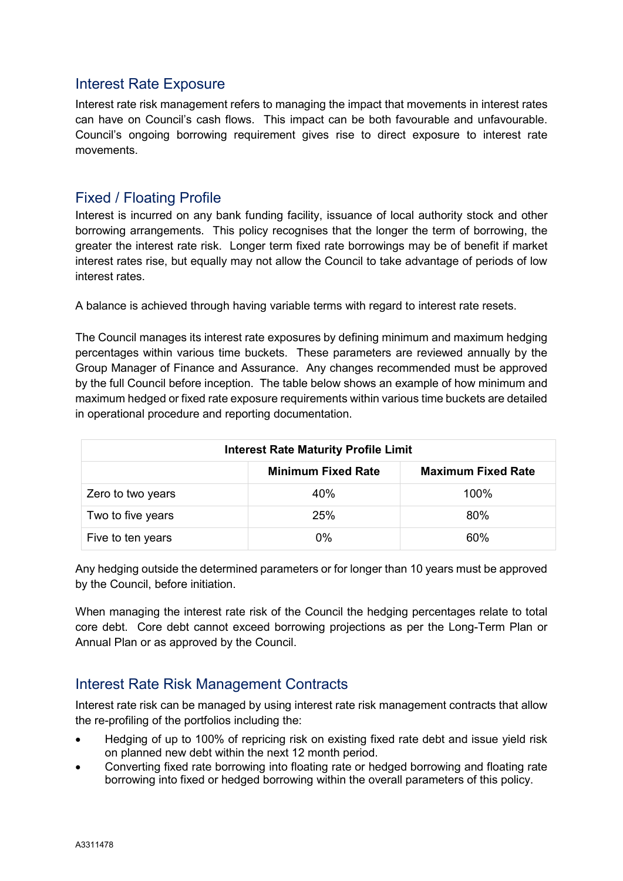### Interest Rate Exposure

Interest rate risk management refers to managing the impact that movements in interest rates can have on Council's cash flows. This impact can be both favourable and unfavourable. Council's ongoing borrowing requirement gives rise to direct exposure to interest rate movements.

#### Fixed / Floating Profile

Interest is incurred on any bank funding facility, issuance of local authority stock and other borrowing arrangements. This policy recognises that the longer the term of borrowing, the greater the interest rate risk. Longer term fixed rate borrowings may be of benefit if market interest rates rise, but equally may not allow the Council to take advantage of periods of low interest rates.

A balance is achieved through having variable terms with regard to interest rate resets.

The Council manages its interest rate exposures by defining minimum and maximum hedging percentages within various time buckets. These parameters are reviewed annually by the Group Manager of Finance and Assurance. Any changes recommended must be approved by the full Council before inception. The table below shows an example of how minimum and maximum hedged or fixed rate exposure requirements within various time buckets are detailed in operational procedure and reporting documentation.

| <b>Interest Rate Maturity Profile Limit</b> |                           |                           |
|---------------------------------------------|---------------------------|---------------------------|
|                                             | <b>Minimum Fixed Rate</b> | <b>Maximum Fixed Rate</b> |
| Zero to two years                           | 40%                       | 100%                      |
| Two to five years                           | 25%                       | 80%                       |
| Five to ten years                           | 0%                        | 60%                       |

Any hedging outside the determined parameters or for longer than 10 years must be approved by the Council, before initiation.

When managing the interest rate risk of the Council the hedging percentages relate to total core debt. Core debt cannot exceed borrowing projections as per the Long-Term Plan or Annual Plan or as approved by the Council.

## Interest Rate Risk Management Contracts

Interest rate risk can be managed by using interest rate risk management contracts that allow the re-profiling of the portfolios including the:

- Hedging of up to 100% of repricing risk on existing fixed rate debt and issue yield risk on planned new debt within the next 12 month period.
- Converting fixed rate borrowing into floating rate or hedged borrowing and floating rate borrowing into fixed or hedged borrowing within the overall parameters of this policy.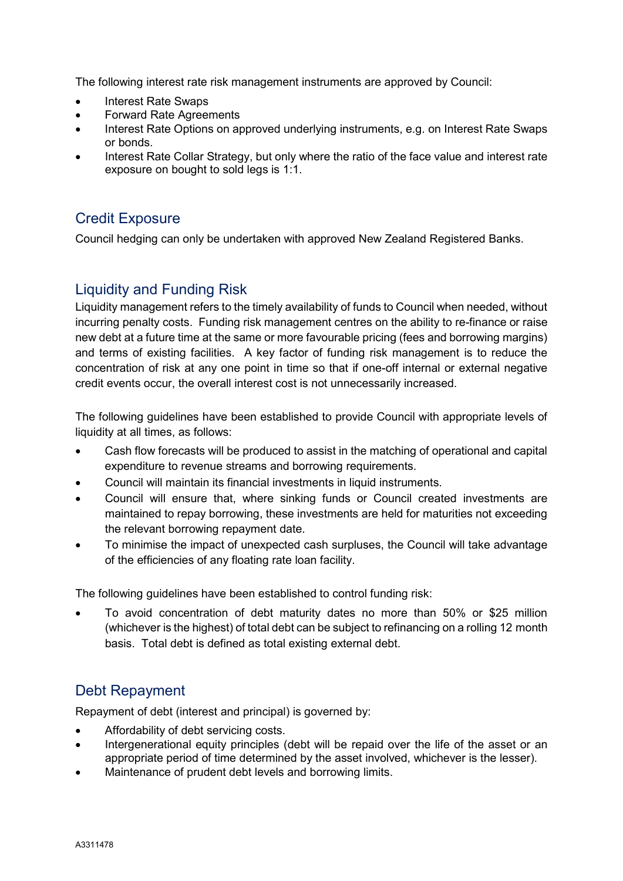The following interest rate risk management instruments are approved by Council:

- Interest Rate Swaps
- Forward Rate Agreements
- Interest Rate Options on approved underlying instruments, e.g. on Interest Rate Swaps or bonds.
- Interest Rate Collar Strategy, but only where the ratio of the face value and interest rate exposure on bought to sold legs is 1:1.

# Credit Exposure

Council hedging can only be undertaken with approved New Zealand Registered Banks.

# Liquidity and Funding Risk

Liquidity management refers to the timely availability of funds to Council when needed, without incurring penalty costs. Funding risk management centres on the ability to re-finance or raise new debt at a future time at the same or more favourable pricing (fees and borrowing margins) and terms of existing facilities. A key factor of funding risk management is to reduce the concentration of risk at any one point in time so that if one-off internal or external negative credit events occur, the overall interest cost is not unnecessarily increased.

The following guidelines have been established to provide Council with appropriate levels of liquidity at all times, as follows:

- Cash flow forecasts will be produced to assist in the matching of operational and capital expenditure to revenue streams and borrowing requirements.
- Council will maintain its financial investments in liquid instruments.
- Council will ensure that, where sinking funds or Council created investments are maintained to repay borrowing, these investments are held for maturities not exceeding the relevant borrowing repayment date.
- To minimise the impact of unexpected cash surpluses, the Council will take advantage of the efficiencies of any floating rate loan facility.

The following guidelines have been established to control funding risk:

• To avoid concentration of debt maturity dates no more than 50% or \$25 million (whichever is the highest) of total debt can be subject to refinancing on a rolling 12 month basis. Total debt is defined as total existing external debt.

# Debt Repayment

Repayment of debt (interest and principal) is governed by:

- Affordability of debt servicing costs.
- Intergenerational equity principles (debt will be repaid over the life of the asset or an appropriate period of time determined by the asset involved, whichever is the lesser).
- Maintenance of prudent debt levels and borrowing limits.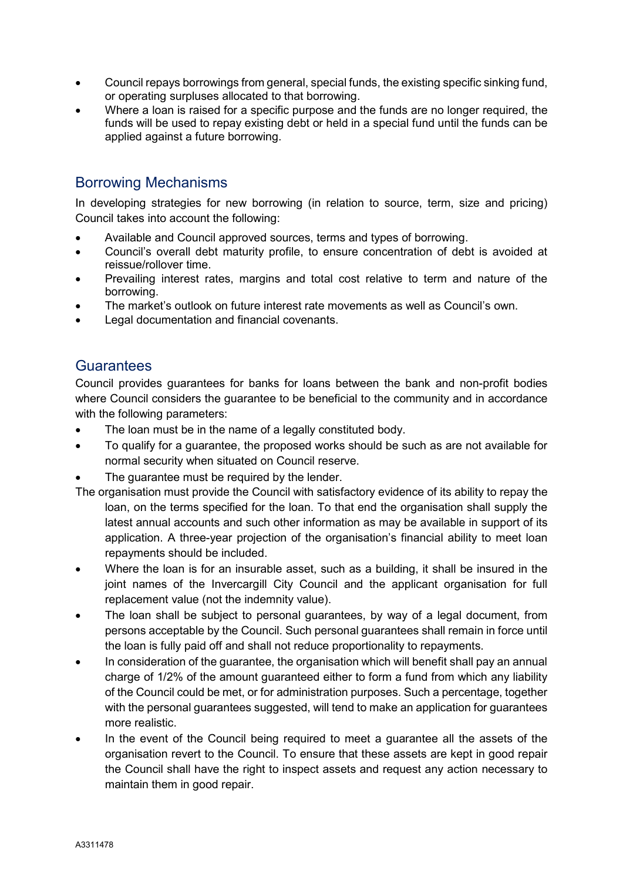- Council repays borrowings from general, special funds, the existing specific sinking fund, or operating surpluses allocated to that borrowing.
- Where a loan is raised for a specific purpose and the funds are no longer required, the funds will be used to repay existing debt or held in a special fund until the funds can be applied against a future borrowing.

# Borrowing Mechanisms

In developing strategies for new borrowing (in relation to source, term, size and pricing) Council takes into account the following:

- Available and Council approved sources, terms and types of borrowing.
- Council's overall debt maturity profile, to ensure concentration of debt is avoided at reissue/rollover time.
- Prevailing interest rates, margins and total cost relative to term and nature of the borrowing.
- The market's outlook on future interest rate movements as well as Council's own.
- Legal documentation and financial covenants.

## **Guarantees**

Council provides guarantees for banks for loans between the bank and non-profit bodies where Council considers the guarantee to be beneficial to the community and in accordance with the following parameters:

- The loan must be in the name of a legally constituted body.
- To qualify for a guarantee, the proposed works should be such as are not available for normal security when situated on Council reserve.
- The quarantee must be required by the lender.
- The organisation must provide the Council with satisfactory evidence of its ability to repay the loan, on the terms specified for the loan. To that end the organisation shall supply the latest annual accounts and such other information as may be available in support of its application. A three-year projection of the organisation's financial ability to meet loan repayments should be included.
- Where the loan is for an insurable asset, such as a building, it shall be insured in the joint names of the Invercargill City Council and the applicant organisation for full replacement value (not the indemnity value).
- The loan shall be subject to personal guarantees, by way of a legal document, from persons acceptable by the Council. Such personal guarantees shall remain in force until the loan is fully paid off and shall not reduce proportionality to repayments.
- In consideration of the guarantee, the organisation which will benefit shall pay an annual charge of 1/2% of the amount guaranteed either to form a fund from which any liability of the Council could be met, or for administration purposes. Such a percentage, together with the personal guarantees suggested, will tend to make an application for guarantees more realistic.
- In the event of the Council being required to meet a guarantee all the assets of the organisation revert to the Council. To ensure that these assets are kept in good repair the Council shall have the right to inspect assets and request any action necessary to maintain them in good repair.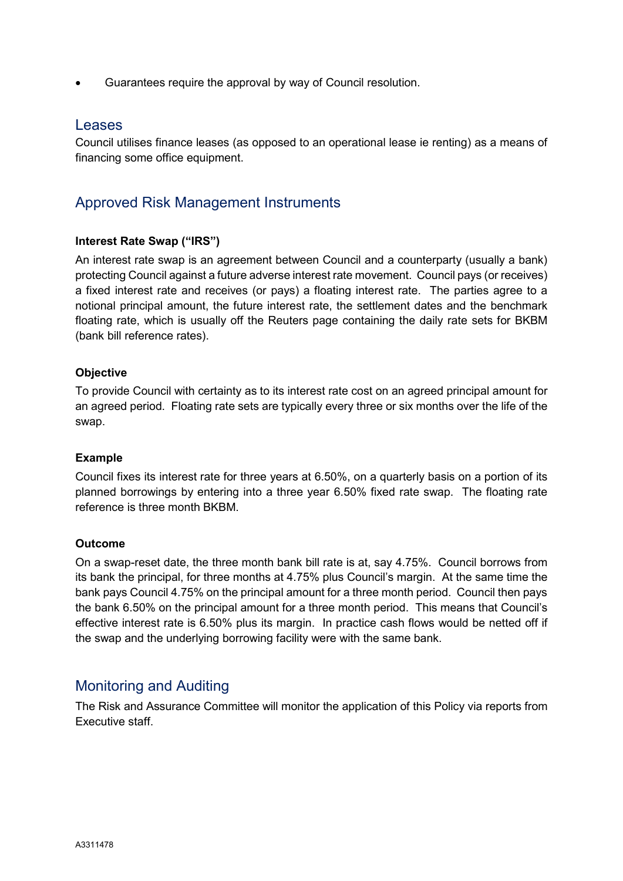• Guarantees require the approval by way of Council resolution.

#### **Leases**

Council utilises finance leases (as opposed to an operational lease ie renting) as a means of financing some office equipment.

# Approved Risk Management Instruments

#### **Interest Rate Swap ("IRS")**

An interest rate swap is an agreement between Council and a counterparty (usually a bank) protecting Council against a future adverse interest rate movement. Council pays (or receives) a fixed interest rate and receives (or pays) a floating interest rate. The parties agree to a notional principal amount, the future interest rate, the settlement dates and the benchmark floating rate, which is usually off the Reuters page containing the daily rate sets for BKBM (bank bill reference rates).

#### **Objective**

To provide Council with certainty as to its interest rate cost on an agreed principal amount for an agreed period. Floating rate sets are typically every three or six months over the life of the swap.

#### **Example**

Council fixes its interest rate for three years at 6.50%, on a quarterly basis on a portion of its planned borrowings by entering into a three year 6.50% fixed rate swap. The floating rate reference is three month BKBM.

#### **Outcome**

On a swap-reset date, the three month bank bill rate is at, say 4.75%. Council borrows from its bank the principal, for three months at 4.75% plus Council's margin. At the same time the bank pays Council 4.75% on the principal amount for a three month period. Council then pays the bank 6.50% on the principal amount for a three month period. This means that Council's effective interest rate is 6.50% plus its margin. In practice cash flows would be netted off if the swap and the underlying borrowing facility were with the same bank.

#### Monitoring and Auditing

The Risk and Assurance Committee will monitor the application of this Policy via reports from Executive staff.